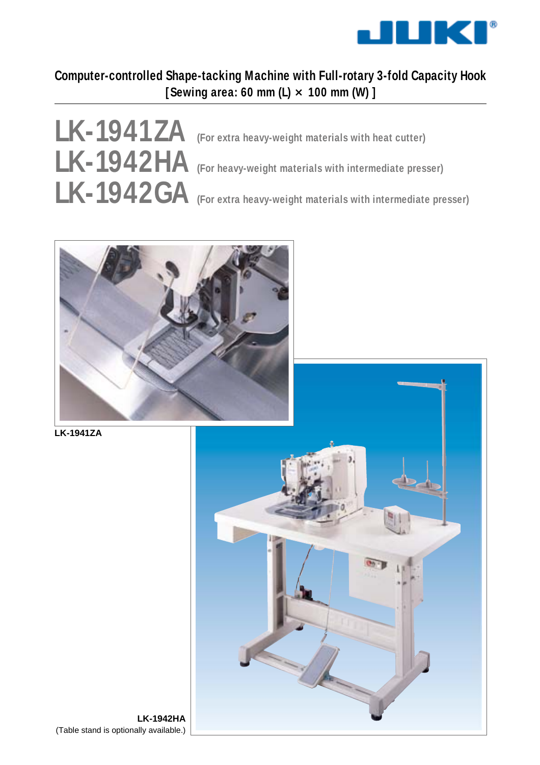

# **Computer-controlled Shape-tacking Machine with Full-rotary 3-fold Capacity Hook [Sewing area: 60 mm (L) × 100 mm (W) ]**

# **LK-1941ZA (For extra heavy-weight materials with heat cutter) LK-1942HA (For heavy-weight materials with intermediate presser) LK-1942GA (For extra heavy-weight materials with intermediate presser)**



**LK-1941ZA**



**LK-1942HA** (Table stand is optionally available.)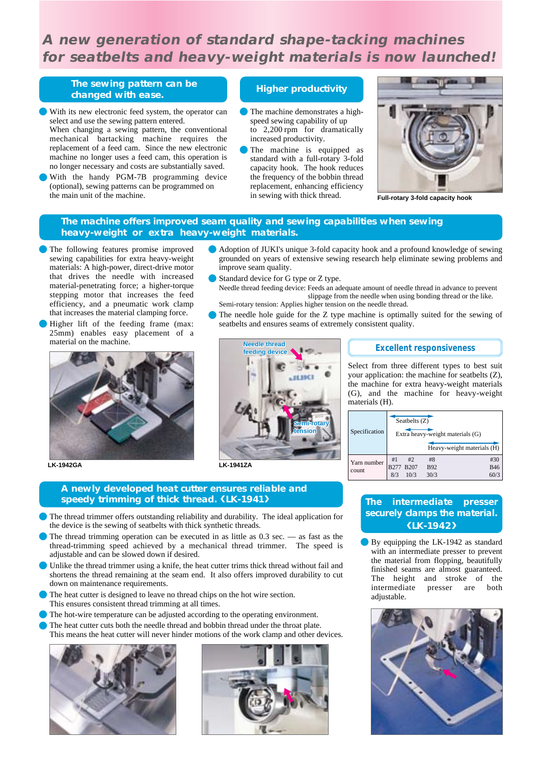# **A new generation of standard shape-tacking machines for seatbelts and heavy-weight materials is now launched!**

#### **The sewing pattern can be changed with ease.**

- With its new electronic feed system, the operator can select and use the sewing pattern entered. When changing a sewing pattern, the conventional mechanical bartacking machine requires the replacement of a feed cam. Since the new electronic machine no longer uses a feed cam, this operation is no longer necessary and costs are substantially saved.
- With the handy PGM-7B programming device (optional), sewing patterns can be programmed on the main unit of the machine. ●

### **Higher productivity**

- The machine demonstrates a high-● speed sewing capability of up to 2,200 rpm for dramatically increased productivity.
- **The machine is equipped as** standard with a full-rotary 3-fold capacity hook. The hook reduces the frequency of the bobbin thread replacement, enhancing efficiency in sewing with thick thread.



**Full-rotary 3-fold capacity hook**

#### **The machine offers improved seam quality and sewing capabilities when sewing heavy-weight or extra heavy-weight materials.**

- **The following features promise improved** sewing capabilities for extra heavy-weight materials: A high-power, direct-drive motor that drives the needle with increased material-penetrating force; a higher-torque stepping motor that increases the feed efficiency, and a pneumatic work clamp that increases the material clamping force.
- Higher lift of the feeding frame (max: 25mm) enables easy placement of a material on the machine. ●





The needle hole guide for the Z type machine is optimally suited for the sewing of ●seatbelts and ensures seams of extremely consistent quality.

● Adoption of JUKI's unique 3-fold capacity hook and a profound knowledge of sewing grounded on years of extensive sewing research help eliminate sewing problems and



#### **Excellent responsiveness**

Select from three different types to best suit your application: the machine for seatbelts (Z), the machine for extra heavy-weight materials (G), and the machine for heavy-weight materials (H).

| Specification | Seatbelts (Z)<br>Extra heavy-weight materials (G)<br>Heavy-weight materials (H) |                   |                  |                   |  |
|---------------|---------------------------------------------------------------------------------|-------------------|------------------|-------------------|--|
| Yarn number   | #1<br><b>B277</b>                                                               | #2<br><b>B207</b> | #8<br><b>B92</b> | #30<br><b>B46</b> |  |
| count         | 8/3                                                                             | 10/3              | 30/3             | 60/               |  |

#### **A newly developed heat cutter ensures reliable and speedy trimming of thick thread. LK-1941**

- The thread trimmer offers outstanding reliability and durability. The ideal application for the device is the sewing of seatbelts with thick synthetic threads.
- The thread trimming operation can be executed in as little as 0.3 sec. –– as fast as the The thread trimming operation can be executed in as little as  $0.3 \text{ sec.} - \text{as fast as the thread-trimming speed achieved by a mechanical thread trimmer. The speed is  $\bullet$$ adjustable and can be slowed down if desired.
- Unlike the thread trimmer using a knife, the heat cutter trims thick thread without fail and shortens the thread remaining at the seam end. It also offers improved durability to cut down on maintenance requirements.
- The heat cutter is designed to leave no thread chips on the hot wire section. This ensures consistent thread trimming at all times. ●
- The hot-wire temperature can be adjusted according to the operating environment. ●
- The heat cutter cuts both the needle thread and bobbin thread under the throat plate. This means the heat cutter will never hinder motions of the work clamp and other devices. ●





#### **The intermediate presser securely clamps the material. LK-1942**

By equipping the LK-1942 as standard with an intermediate presser to prevent the material from flopping, beautifully finished seams are almost guaranteed. The height and stroke of the intermediate presser are both adjustable.

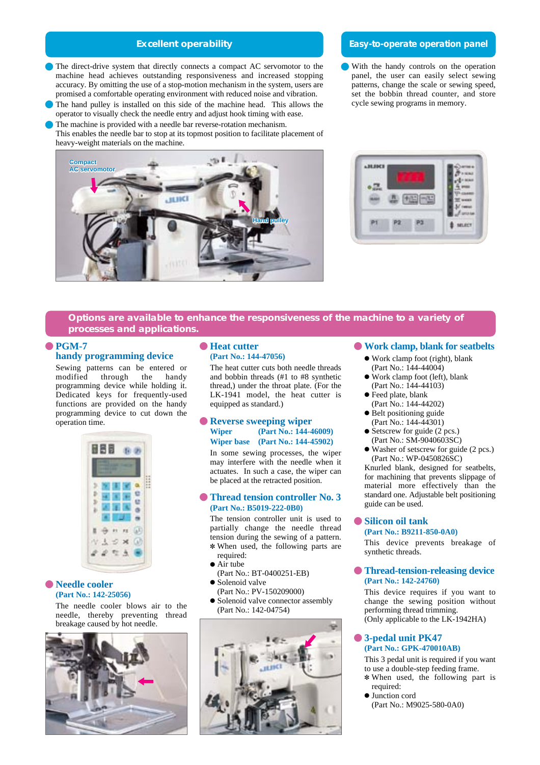- **The direct-drive system that directly connects a compact AC servomotor to the** machine head achieves outstanding responsiveness and increased stopping accuracy. By omitting the use of a stop-motion mechanism in the system, users are promised a comfortable operating environment with reduced noise and vibration.
- The hand pulley is installed on this side of the machine head. This allows the operator to visually check the needle entry and adjust hook timing with ease. ●
- The machine is provided with a needle bar reverse-rotation mechanism. This enables the needle bar to stop at its topmost position to facilitate placement of heavy-weight materials on the machine. ●



#### **Excellent operability Easy-to-operate operation panel**

With the handy controls on the operation ●panel, the user can easily select sewing patterns, change the scale or sewing speed, set the bobbin thread counter, and store cycle sewing programs in memory.



#### **Options are available to enhance the responsiveness of the machine to a variety of processes and applications.**

#### **PGM-7**

#### **handy programming device**

Sewing patterns can be entered or modified through the handy programming device while holding it. Dedicated keys for frequently-used functions are provided on the handy programming device to cut down the operation time.



#### ● Needle cooler **(Part No.: 142-25056)**

The needle cooler blows air to the needle, thereby preventing thread breakage caused by hot needle.



#### ● PGM-7 ● **Heat cutter (Part No.: 144-47056)**

The heat cutter cuts both needle threads and bobbin threads (#1 to #8 synthetic thread,) under the throat plate. (For the LK-1941 model, the heat cutter is equipped as standard.)

#### **• Reverse sweeping wiper Wiper (Part No.: 144-46009) Wiper base (Part No.: 144-45902)**

In some sewing processes, the wiper may interfere with the needle when it actuates. In such a case, the wiper can be placed at the retracted position.

#### **O** Thread tension controller No. 3 **(Part No.: B5019-222-0B0)**

The tension controller unit is used to partially change the needle thread tension during the sewing of a pattern. ✽ When used, the following parts are required:

- Air tube
- (Part No.: BT-0400251-EB) ● Solenoid valve
- (Part No.: PV-150209000)
- Solenoid valve connector assembly (Part No.: 142-04754)



#### **Work clamp, blank for seatbelts**

- Work clamp foot (right), blank (Part No.: 144-44004)
- Work clamp foot (left), blank (Part No.: 144-44103)
- Feed plate, blank (Part No.: 144-44202)
- Belt positioning guide (Part No.: 144-44301)
- Setscrew for guide (2 pcs.) (Part No.: SM-9040603SC)
- Washer of setscrew for guide (2 pcs.) (Part No.: WP-0450826SC)

Knurled blank, designed for seatbelts, for machining that prevents slippage of material more effectively than the standard one. Adjustable belt positioning guide can be used.

#### ● Silicon oil tank

#### **(Part No.: B9211-850-0A0)**

This device prevents breakage of synthetic threads.

#### **• Thread-tension-releasing device (Part No.: 142-24760)**

This device requires if you want to change the sewing position without performing thread trimming. (Only applicable to the LK-1942HA)

#### **• 3-pedal unit PK47 (Part No.: GPK-470010AB)**

This 3 pedal unit is required if you want to use a double-step feeding frame.

- ✽ When used, the following part is required:
- Junction cord (Part No.: M9025-580-0A0)